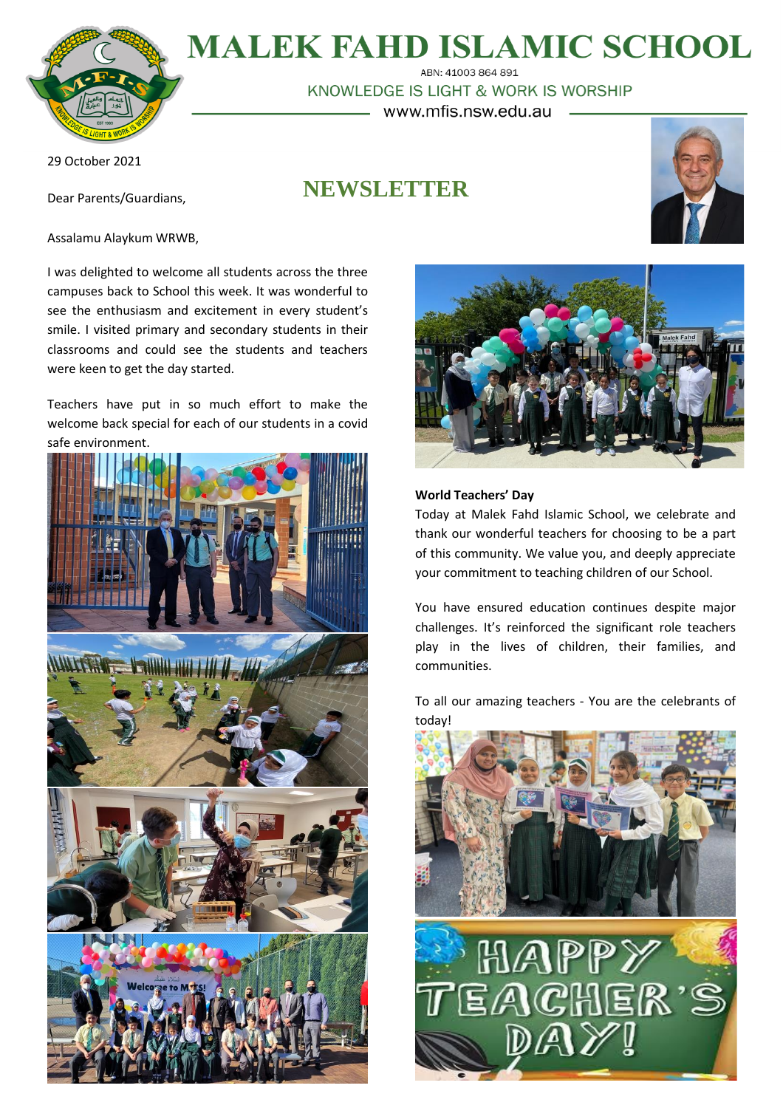

# **MALEK FAHD ISLAMIC SCHOOL**

ABN: 41003 864 891 KNOWLEDGE IS LIGHT & WORK IS WORSHIP www.mfis.nsw.edu.au

29 October 2021

Dear Parents/Guardians,

Assalamu Alaykum WRWB,

were keen to get the day started.

**NEWSLETTER**



I was delighted to welcome all students across the three campuses back to School this week. It was wonderful to see the enthusiasm and excitement in every student's smile. I visited primary and secondary students in their classrooms and could see the students and teachers

Teachers have put in so much effort to make the welcome back special for each of our students in a covid safe environment.



# **World Teachers' Day**

Today at Malek Fahd Islamic School, we celebrate and thank our wonderful teachers for choosing to be a part of this community. We value you, and deeply appreciate your commitment to teaching children of our School.

You have ensured education continues despite major challenges. It's reinforced the significant role teachers play in the lives of children, their families, and communities.

To all our amazing teachers - You are the celebrants of today!